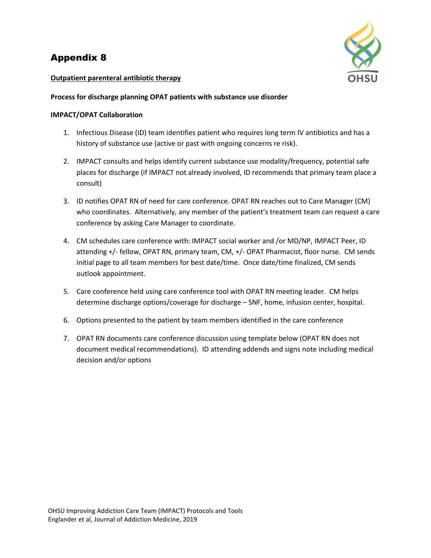# Appendix 8



# **Outpatient parenteral antibiotic therapy**

## **Process for discharge planning OPAT patients with substance use disorder**

# **IMPACT/OPAT Collaboration**

- 1. Infectious Disease (ID) team identifies patient who requires long term IV antibiotics and has a history of substance use (active or past with ongoing concerns re risk).
- 2. IMPACT consults and helps identify current substance use modality/frequency, potential safe places for discharge (if IMPACT not already involved, ID recommends that primary team place a consult)
- 3. ID notifies OPAT RN of need for care conference. OPAT RN reaches out to Care Manager (CM) who coordinates. Alternatively, any member of the patient's treatment team can request a care conference by asking Care Manager to coordinate.
- 4. CM schedules care conference with: IMPACT social worker and /or MD/NP, IMPACT Peer, ID attending +/- fellow, OPAT RN, primary team, CM, +/- OPAT Pharmacist, floor nurse. CM sends initial page to all team members for best date/time. Once date/time finalized, CM sends outlook appointment.
- 5. Care conference held using care conference tool with OPAT RN meeting leader. CM helps determine discharge options/coverage for discharge – SNF, home, infusion center, hospital.
- 6. Options presented to the patient by team members identified in the care conference
- 7. OPAT RN documents care conference discussion using template below (OPAT RN does not document medical recommendations). ID attending addends and signs note including medical decision and/or options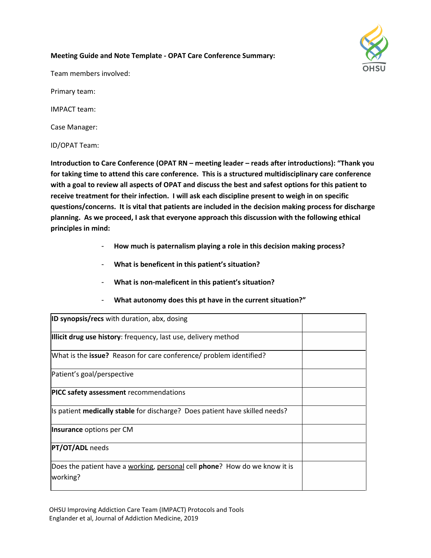# **Meeting Guide and Note Template - OPAT Care Conference Summary:**

Team members involved:

Primary team:

IMPACT team:

Case Manager:

ID/OPAT Team:

**Introduction to Care Conference (OPAT RN – meeting leader – reads after introductions): "Thank you for taking time to attend this care conference. This is a structured multidisciplinary care conference with a goal to review all aspects of OPAT and discuss the best and safest options for this patient to receive treatment for their infection. I will ask each discipline present to weigh in on specific questions/concerns. It is vital that patients are included in the decision making process for discharge planning. As we proceed, I ask that everyone approach this discussion with the following ethical principles in mind:** 

- **How much is paternalism playing a role in this decision making process?**
- **What is beneficent in this patient's situation?**
- **What is non-maleficent in this patient's situation?**
- **What autonomy does this pt have in the current situation?"**

| <b>ID synopsis/recs</b> with duration, abx, dosing                                             |  |
|------------------------------------------------------------------------------------------------|--|
| <b>Illicit drug use history:</b> frequency, last use, delivery method                          |  |
| What is the <b>issue?</b> Reason for care conference/ problem identified?                      |  |
| Patient's goal/perspective                                                                     |  |
| <b>PICC safety assessment</b> recommendations                                                  |  |
| Is patient <b>medically stable</b> for discharge? Does patient have skilled needs?             |  |
| Insurance options per CM                                                                       |  |
| <b>PT/OT/ADL</b> needs                                                                         |  |
| Does the patient have a working, personal cell <b>phone</b> ? How do we know it is<br>working? |  |

OHSU Improving Addiction Care Team (IMPACT) Protocols and Tools Englander et al, Journal of Addiction Medicine, 2019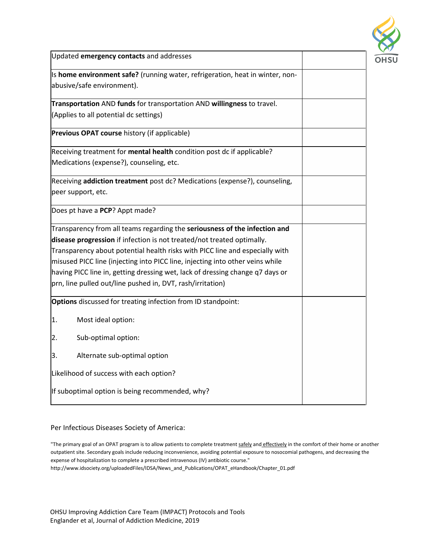

| Updated emergency contacts and addresses                                      |  |
|-------------------------------------------------------------------------------|--|
| Is home environment safe? (running water, refrigeration, heat in winter, non- |  |
| abusive/safe environment).                                                    |  |
| Transportation AND funds for transportation AND willingness to travel.        |  |
| (Applies to all potential dc settings)                                        |  |
| Previous OPAT course history (if applicable)                                  |  |
| Receiving treatment for mental health condition post dc if applicable?        |  |
| Medications (expense?), counseling, etc.                                      |  |
| Receiving addiction treatment post dc? Medications (expense?), counseling,    |  |
| peer support, etc.                                                            |  |
| Does pt have a PCP? Appt made?                                                |  |
| Transparency from all teams regarding the seriousness of the infection and    |  |
| disease progression if infection is not treated/not treated optimally.        |  |
| Transparency about potential health risks with PICC line and especially with  |  |
| misused PICC line (injecting into PICC line, injecting into other veins while |  |
| having PICC line in, getting dressing wet, lack of dressing change q7 days or |  |
| prn, line pulled out/line pushed in, DVT, rash/irritation)                    |  |
| Options discussed for treating infection from ID standpoint:                  |  |
| 1.<br>Most ideal option:                                                      |  |
| Sub-optimal option:<br>2.                                                     |  |
| Alternate sub-optimal option<br>3.                                            |  |
| Likelihood of success with each option?                                       |  |
| If suboptimal option is being recommended, why?                               |  |

## Per Infectious Diseases Society of America:

OHSU Improving Addiction Care Team (IMPACT) Protocols and Tools Englander et al, Journal of Addiction Medicine, 2019

<sup>&</sup>quot;The primary goal of an OPAT program is to allow patients to complete treatment safely and effectively in the comfort of their home or another outpatient site. Secondary goals include reducing inconvenience, avoiding potential exposure to nosocomial pathogens, and decreasing the expense of hospitalization to complete a prescribed intravenous (IV) antibiotic course."

http://www.idsociety.org/uploadedFiles/IDSA/News\_and\_Publications/OPAT\_eHandbook/Chapter\_01.pdf